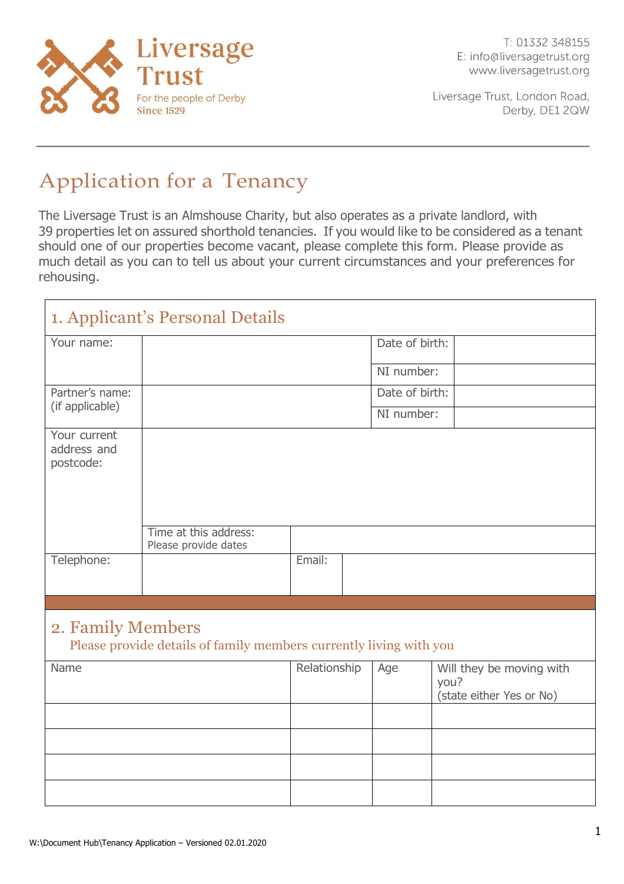

T: 01332 348155 E: info@liversagetrust.org www.liversagetrust.org

Liversage Trust, London Road, Derby, DE1 2QW

# Application for a Tenancy

The Liversage Trust is an Almshouse Charity, but also operates as a private landlord, with 39 properties let on assured shorthold tenancies. If you would like to be considered as a tenant should one of our properties become vacant, please complete this form. Please provide as much detail as you can to tell us about your current circumstances and your preferences for rehousing.

|                                                                                         | 1. Applicant's Personal Details               |              |  |                |                                                              |
|-----------------------------------------------------------------------------------------|-----------------------------------------------|--------------|--|----------------|--------------------------------------------------------------|
| Your name:                                                                              |                                               |              |  | Date of birth: |                                                              |
|                                                                                         |                                               |              |  | NI number:     |                                                              |
| Partner's name:<br>(if applicable)                                                      |                                               |              |  | Date of birth: |                                                              |
|                                                                                         |                                               |              |  | NI number:     |                                                              |
| Your current<br>address and<br>postcode:                                                |                                               |              |  |                |                                                              |
|                                                                                         | Time at this address:<br>Please provide dates |              |  |                |                                                              |
| Telephone:                                                                              |                                               | Email:       |  |                |                                                              |
|                                                                                         |                                               |              |  |                |                                                              |
| 2. Family Members<br>Please provide details of family members currently living with you |                                               |              |  |                |                                                              |
| Name                                                                                    |                                               | Relationship |  | Age            | Will they be moving with<br>you?<br>(state either Yes or No) |
|                                                                                         |                                               |              |  |                |                                                              |
|                                                                                         |                                               |              |  |                |                                                              |
|                                                                                         |                                               |              |  |                |                                                              |
|                                                                                         |                                               |              |  |                |                                                              |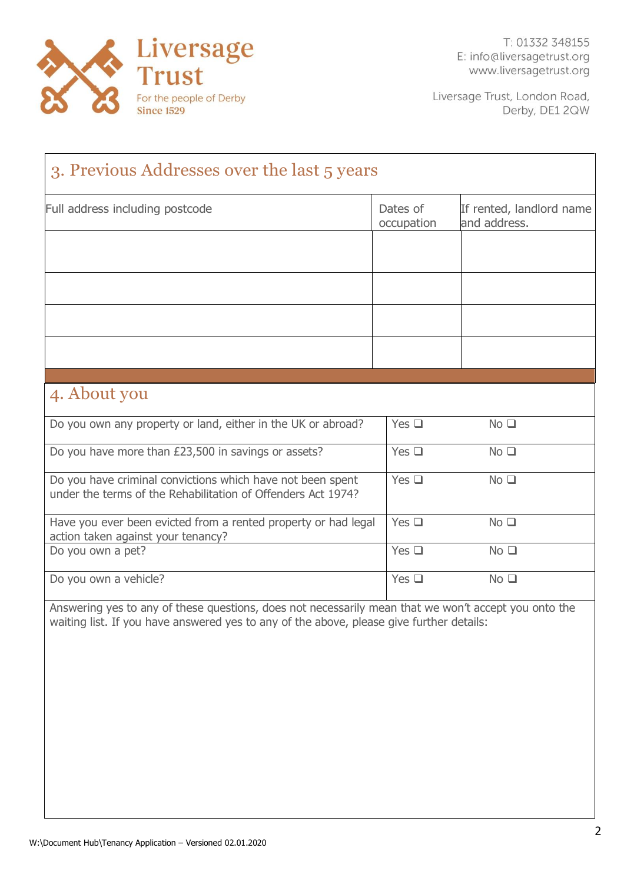

| 3. Previous Addresses over the last 5 years                                                                                                                                                      |                        |                                          |  |
|--------------------------------------------------------------------------------------------------------------------------------------------------------------------------------------------------|------------------------|------------------------------------------|--|
| Full address including postcode                                                                                                                                                                  | Dates of<br>occupation | If rented, landlord name<br>and address. |  |
|                                                                                                                                                                                                  |                        |                                          |  |
|                                                                                                                                                                                                  |                        |                                          |  |
|                                                                                                                                                                                                  |                        |                                          |  |
|                                                                                                                                                                                                  |                        |                                          |  |
| 4. About you                                                                                                                                                                                     |                        |                                          |  |
| Do you own any property or land, either in the UK or abroad?                                                                                                                                     | Yes $\square$          | No <sub>1</sub>                          |  |
| Do you have more than £23,500 in savings or assets?                                                                                                                                              | Yes $\square$          | No <sub>1</sub>                          |  |
| Do you have criminal convictions which have not been spent<br>under the terms of the Rehabilitation of Offenders Act 1974?                                                                       | Yes $\square$          | No <sub>1</sub>                          |  |
| Have you ever been evicted from a rented property or had legal<br>action taken against your tenancy?                                                                                             | Yes $\square$          | No <sub>1</sub>                          |  |
| Do you own a pet?                                                                                                                                                                                | Yes $\Box$             | $No$ $\square$                           |  |
| Do you own a vehicle?                                                                                                                                                                            | Yes $\square$          | No <sub>1</sub>                          |  |
| Answering yes to any of these questions, does not necessarily mean that we won't accept you onto the<br>waiting list. If you have answered yes to any of the above, please give further details: |                        |                                          |  |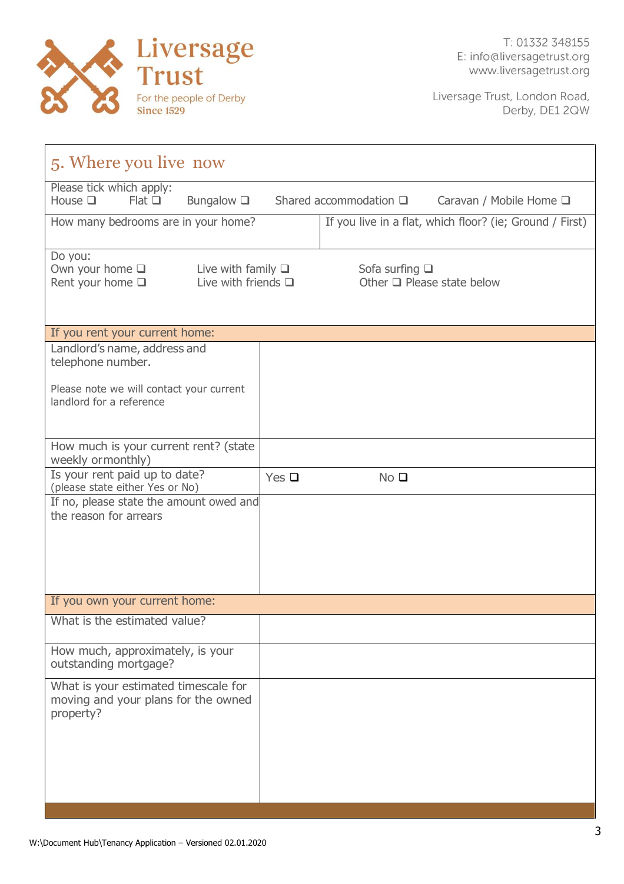

| 5. Where you live now                                                                                                                          |            |                        |                                                          |  |
|------------------------------------------------------------------------------------------------------------------------------------------------|------------|------------------------|----------------------------------------------------------|--|
| Please tick which apply:<br>House $\square$<br>Bungalow $\square$<br>Shared accommodation $\square$<br>Flat<br>Caravan / Mobile Home $\square$ |            |                        |                                                          |  |
| How many bedrooms are in your home?                                                                                                            |            |                        | If you live in a flat, which floor? (ie; Ground / First) |  |
| Do you:<br>Own your home $\square$<br>Live with family $\square$<br>Live with friends $\Box$<br>Rent your home $\square$                       |            | Sofa surfing $\square$ | Other $\Box$ Please state below                          |  |
| If you rent your current home:                                                                                                                 |            |                        |                                                          |  |
| Landlord's name, address and<br>telephone number.                                                                                              |            |                        |                                                          |  |
| Please note we will contact your current<br>landlord for a reference                                                                           |            |                        |                                                          |  |
| How much is your current rent? (state<br>weekly ormonthly)                                                                                     |            |                        |                                                          |  |
| Is your rent paid up to date?<br>(please state either Yes or No)                                                                               | Yes $\Box$ | No <sub>Q</sub>        |                                                          |  |
| If no, please state the amount owed and<br>the reason for arrears                                                                              |            |                        |                                                          |  |
| If you own your current home:                                                                                                                  |            |                        |                                                          |  |
| What is the estimated value?                                                                                                                   |            |                        |                                                          |  |
| How much, approximately, is your<br>outstanding mortgage?                                                                                      |            |                        |                                                          |  |
| What is your estimated timescale for<br>moving and your plans for the owned<br>property?                                                       |            |                        |                                                          |  |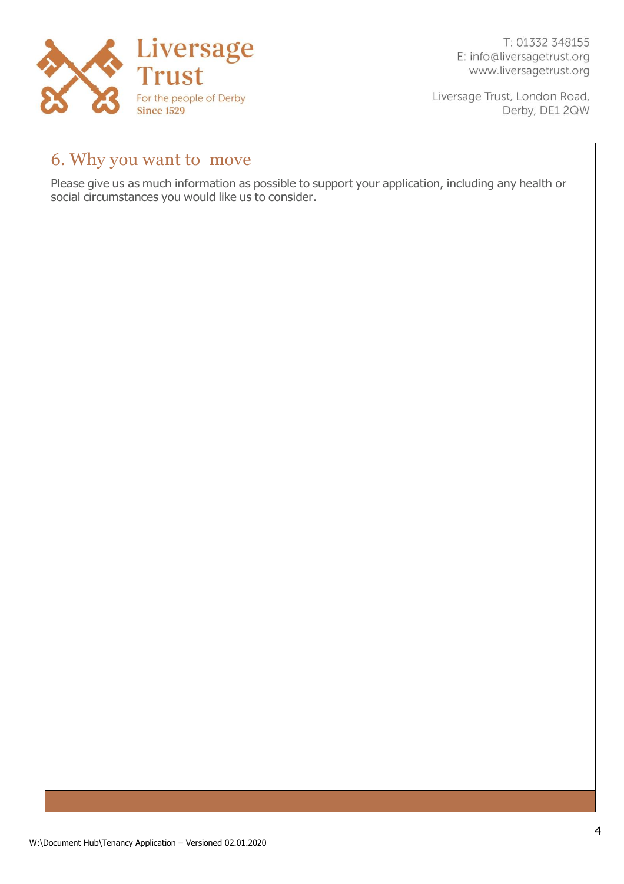

T: 01332 348155 E: info@liversagetrust.org www.liversagetrust.org

Liversage Trust, London Road, Derby, DE1 2QW

## 6. Why you want to move

Please give us as much information as possible to support your application, including any health or social circumstances you would like us to consider.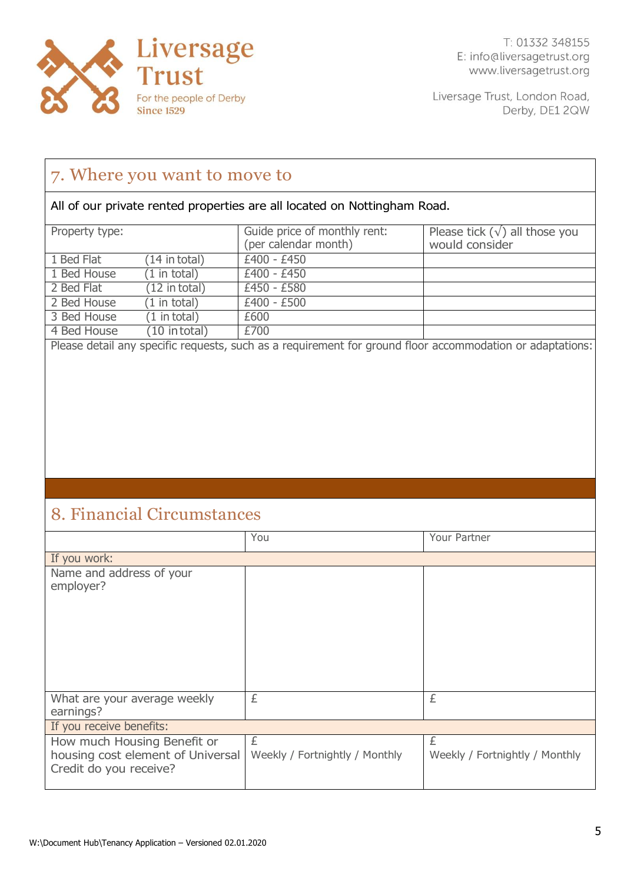

### 7. Where you want to move to

All of our private rented properties are all located on Nottingham Road.

| Property type: |                         | Guide price of monthly rent:<br>(per calendar month) | Please tick $(\sqrt{})$ all those you<br>would consider |
|----------------|-------------------------|------------------------------------------------------|---------------------------------------------------------|
| 1 Bed Flat     | $(14$ in total)         | £400 - £450                                          |                                                         |
| 1 Bed House    | $(1 \text{ in total})$  | £400 - £450                                          |                                                         |
| 2 Bed Flat     | $(12 \text{ in total})$ | £450 - £580                                          |                                                         |
| 2 Bed House    | $(1 \text{ in total})$  | $£400 - £500$                                        |                                                         |
| 3 Bed House    | $(1 \text{ in total})$  | £600                                                 |                                                         |
| 4 Bed House    | $(10$ in total)         | £700                                                 |                                                         |

Please detail any specific requests, such as a requirement for ground floor accommodation or adaptations:

## 8. Financial Circumstances

|                                                                                            | You                                 | Your Partner                        |
|--------------------------------------------------------------------------------------------|-------------------------------------|-------------------------------------|
| If you work:                                                                               |                                     |                                     |
| Name and address of your<br>employer?                                                      |                                     |                                     |
| What are your average weekly<br>earnings?                                                  | £                                   | £                                   |
| If you receive benefits:                                                                   |                                     |                                     |
| How much Housing Benefit or<br>housing cost element of Universal<br>Credit do you receive? | £<br>Weekly / Fortnightly / Monthly | £<br>Weekly / Fortnightly / Monthly |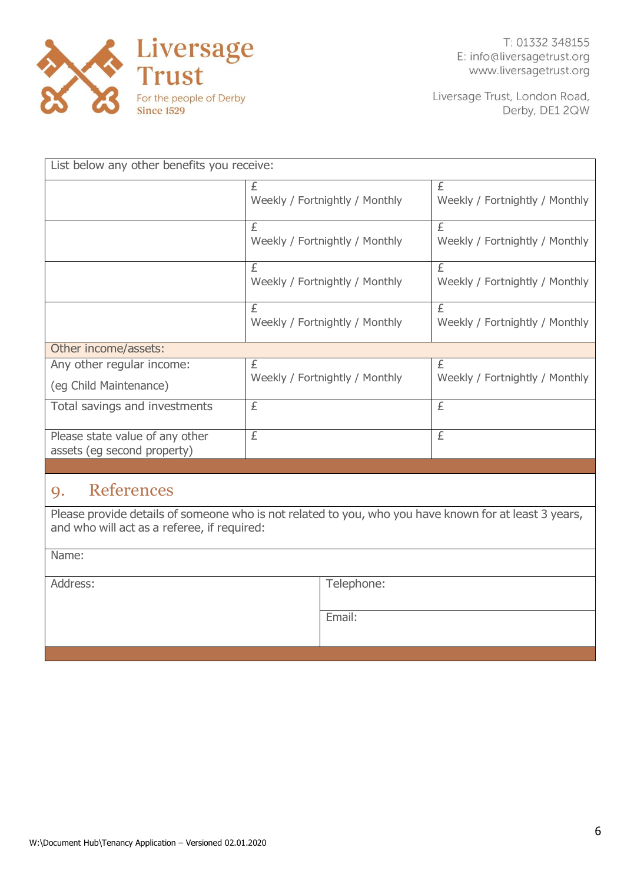

| List below any other benefits you receive:                     |                                     |                                     |  |
|----------------------------------------------------------------|-------------------------------------|-------------------------------------|--|
|                                                                | £<br>Weekly / Fortnightly / Monthly | £<br>Weekly / Fortnightly / Monthly |  |
|                                                                | £<br>Weekly / Fortnightly / Monthly | £<br>Weekly / Fortnightly / Monthly |  |
|                                                                | £<br>Weekly / Fortnightly / Monthly | £<br>Weekly / Fortnightly / Monthly |  |
|                                                                | £<br>Weekly / Fortnightly / Monthly | £<br>Weekly / Fortnightly / Monthly |  |
| Other income/assets:                                           |                                     |                                     |  |
| Any other regular income:<br>(eg Child Maintenance)            | £<br>Weekly / Fortnightly / Monthly | £<br>Weekly / Fortnightly / Monthly |  |
| Total savings and investments                                  | £                                   | £                                   |  |
| Please state value of any other<br>assets (eg second property) | £                                   | £                                   |  |
|                                                                |                                     |                                     |  |

#### 9. References

Please provide details of someone who is not related to you, who you have known for at least 3 years, and who will act as a referee, if required:

Name:

Address: Telephone:

Email: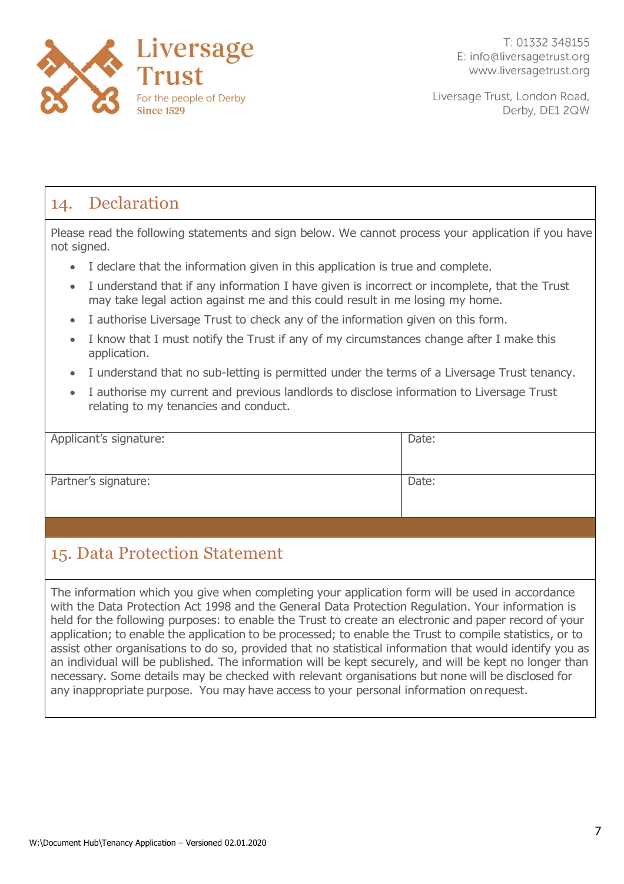

## 14. Declaration

Please read the following statements and sign below. We cannot process your application if you have not signed.

- I declare that the information given in this application is true and complete.
- I understand that if any information I have given is incorrect or incomplete, that the Trust may take legal action against me and this could result in me losing my home.
- I authorise Liversage Trust to check any of the information given on this form.
- I know that I must notify the Trust if any of my circumstances change after I make this application.
- I understand that no sub-letting is permitted under the terms of a Liversage Trust tenancy.
- I authorise my current and previous landlords to disclose information to Liversage Trust relating to my tenancies and conduct.

| Applicant's signature: | Date: |
|------------------------|-------|
|                        |       |
|                        |       |
|                        |       |
|                        |       |
| Partner's signature:   | Date: |
|                        |       |
|                        |       |
|                        |       |
|                        |       |

## 15. Data Protection Statement

The information which you give when completing your application form will be used in accordance with the Data Protection Act 1998 and the General Data Protection Regulation. Your information is held for the following purposes: to enable the Trust to create an electronic and paper record of your application; to enable the application to be processed; to enable the Trust to compile statistics, or to assist other organisations to do so, provided that no statistical information that would identify you as an individual will be published. The information will be kept securely, and will be kept no longer than necessary. Some details may be checked with relevant organisations but none will be disclosed for any inappropriate purpose. You may have access to your personal information onrequest.